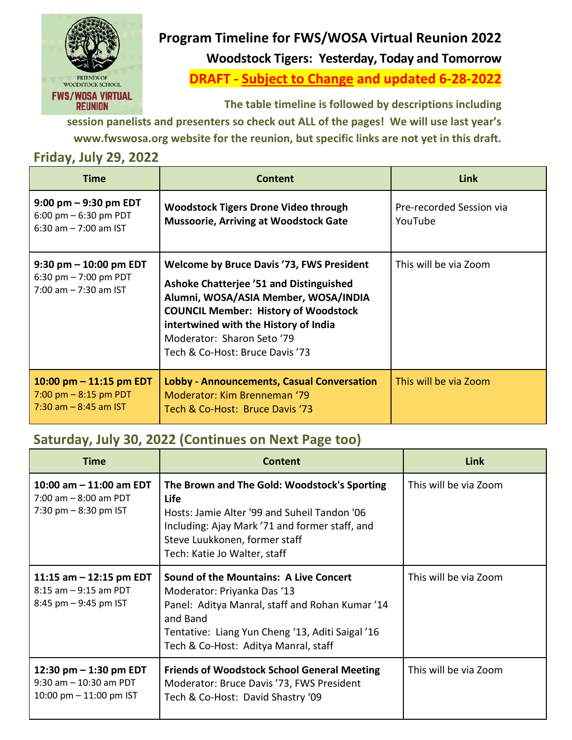

## **Program Timeline for FWS/WOSA Virtual Reunion 2022 Woodstock Tigers: Yesterday, Today and Tomorrow**

**DRAFT - Subject to Change and updated 6-28-2022**

**The table timeline is followed by descriptions including** 

**session panelists and presenters so check out ALL of the pages! We will use last year's www.fwswosa.org website for the reunion, but specific links are not yet in this draft.** 

## **Friday, July 29, 2022**

| <b>Time</b>                                                                                   | <b>Content</b>                                                                                                                                                                                                                                                                                      | Link                                |
|-----------------------------------------------------------------------------------------------|-----------------------------------------------------------------------------------------------------------------------------------------------------------------------------------------------------------------------------------------------------------------------------------------------------|-------------------------------------|
| $9:00 \text{ pm} - 9:30 \text{ pm}$ EDT<br>6:00 pm $-$ 6:30 pm PDT<br>6:30 am $- 7:00$ am IST | <b>Woodstock Tigers Drone Video through</b><br><b>Mussoorie, Arriving at Woodstock Gate</b>                                                                                                                                                                                                         | Pre-recorded Session via<br>YouTube |
| $9:30$ pm $-10:00$ pm EDT<br>6:30 pm $- 7:00$ pm PDT<br>$7:00$ am $-7:30$ am IST              | <b>Welcome by Bruce Davis '73, FWS President</b><br><b>Ashoke Chatterjee '51 and Distinguished</b><br>Alumni, WOSA/ASIA Member, WOSA/INDIA<br><b>COUNCIL Member: History of Woodstock</b><br>intertwined with the History of India<br>Moderator: Sharon Seto '79<br>Tech & Co-Host: Bruce Davis '73 | This will be via Zoom               |
| 10:00 pm $-$ 11:15 pm EDT<br>7:00 pm $-$ 8:15 pm PDT<br>$7:30$ am $-8:45$ am IST              | <b>Lobby - Announcements, Casual Conversation</b><br>Moderator: Kim Brenneman '79<br>Tech & Co-Host: Bruce Davis '73                                                                                                                                                                                | This will be via Zoom               |

## **Saturday, July 30, 2022 (Continues on Next Page too)**

| <b>Time</b>                                                                        | <b>Content</b>                                                                                                                                                                                                                          | Link                  |
|------------------------------------------------------------------------------------|-----------------------------------------------------------------------------------------------------------------------------------------------------------------------------------------------------------------------------------------|-----------------------|
| 10:00 am $-$ 11:00 am EDT<br>$7:00$ am $-8:00$ am PDT<br>7:30 pm $-$ 8:30 pm IST   | The Brown and The Gold: Woodstock's Sporting<br><b>Life</b><br>Hosts: Jamie Alter '99 and Suheil Tandon '06<br>Including: Ajay Mark '71 and former staff, and<br>Steve Luukkonen, former staff<br>Tech: Katie Jo Walter, staff          | This will be via Zoom |
| 11:15 am $-$ 12:15 pm EDT<br>$8:15$ am $-9:15$ am PDT<br>8:45 pm - 9:45 pm IST     | <b>Sound of the Mountains: A Live Concert</b><br>Moderator: Priyanka Das '13<br>Panel: Aditya Manral, staff and Rohan Kumar '14<br>and Band<br>Tentative: Liang Yun Cheng '13, Aditi Saigal '16<br>Tech & Co-Host: Aditya Manral, staff | This will be via Zoom |
| 12:30 pm $-$ 1:30 pm EDT<br>$9:30$ am $-10:30$ am PDT<br>10:00 pm $-$ 11:00 pm IST | <b>Friends of Woodstock School General Meeting</b><br>Moderator: Bruce Davis '73, FWS President<br>Tech & Co-Host: David Shastry '09                                                                                                    | This will be via Zoom |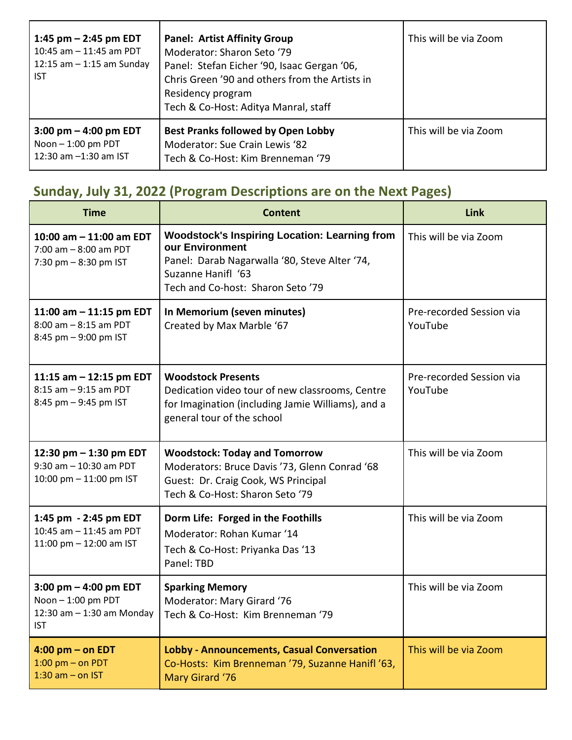| 1:45 pm $-$ 2:45 pm EDT<br>10:45 am $-$ 11:45 am PDT<br>12:15 am $-$ 1:15 am Sunday<br><b>IST</b> | <b>Panel: Artist Affinity Group</b><br>Moderator: Sharon Seto '79<br>Panel: Stefan Eicher '90, Isaac Gergan '06,<br>Chris Green '90 and others from the Artists in<br>Residency program<br>Tech & Co-Host: Aditya Manral, staff | This will be via Zoom |
|---------------------------------------------------------------------------------------------------|---------------------------------------------------------------------------------------------------------------------------------------------------------------------------------------------------------------------------------|-----------------------|
| $3:00 \text{ pm} - 4:00 \text{ pm}$ EDT<br>Noon $-1:00$ pm PDT<br>12:30 am -1:30 am IST           | <b>Best Pranks followed by Open Lobby</b><br>Moderator: Sue Crain Lewis '82<br>Tech & Co-Host: Kim Brenneman '79                                                                                                                | This will be via Zoom |

# **Sunday, July 31, 2022 (Program Descriptions are on the Next Pages)**

| <b>Time</b>                                                                                | <b>Content</b>                                                                                                                                                                      | <b>Link</b>                         |
|--------------------------------------------------------------------------------------------|-------------------------------------------------------------------------------------------------------------------------------------------------------------------------------------|-------------------------------------|
| 10:00 am - 11:00 am EDT<br>$7:00$ am $-8:00$ am PDT<br>7:30 pm $-8:30$ pm IST              | <b>Woodstock's Inspiring Location: Learning from</b><br>our Environment<br>Panel: Darab Nagarwalla '80, Steve Alter '74,<br>Suzanne Hanifl '63<br>Tech and Co-host: Sharon Seto '79 | This will be via Zoom               |
| 11:00 am - 11:15 pm EDT<br>$8:00$ am $-8:15$ am PDT<br>8:45 pm - 9:00 pm IST               | In Memorium (seven minutes)<br>Created by Max Marble '67                                                                                                                            | Pre-recorded Session via<br>YouTube |
| 11:15 am - 12:15 pm EDT<br>$8:15$ am $-9:15$ am PDT<br>8:45 pm - 9:45 pm IST               | <b>Woodstock Presents</b><br>Dedication video tour of new classrooms, Centre<br>for Imagination (including Jamie Williams), and a<br>general tour of the school                     | Pre-recorded Session via<br>YouTube |
| 12:30 pm - 1:30 pm EDT<br>9:30 am - 10:30 am PDT<br>10:00 pm - 11:00 pm IST                | <b>Woodstock: Today and Tomorrow</b><br>Moderators: Bruce Davis '73, Glenn Conrad '68<br>Guest: Dr. Craig Cook, WS Principal<br>Tech & Co-Host: Sharon Seto '79                     | This will be via Zoom               |
| 1:45 pm - 2:45 pm EDT<br>10:45 am - 11:45 am PDT<br>11:00 pm - 12:00 am IST                | Dorm Life: Forged in the Foothills<br>Moderator: Rohan Kumar '14<br>Tech & Co-Host: Priyanka Das '13<br>Panel: TBD                                                                  | This will be via Zoom               |
| 3:00 pm $-$ 4:00 pm EDT<br>Noon - 1:00 pm PDT<br>12:30 am $-$ 1:30 am Monday<br><b>IST</b> | <b>Sparking Memory</b><br>Moderator: Mary Girard '76<br>Tech & Co-Host: Kim Brenneman '79                                                                                           | This will be via Zoom               |
| $4:00$ pm $-$ on EDT<br>$1:00$ pm $-$ on PDT<br>$1:30$ am $-$ on IST                       | <b>Lobby - Announcements, Casual Conversation</b><br>Co-Hosts: Kim Brenneman '79, Suzanne Hanifl '63,<br>Mary Girard '76                                                            | This will be via Zoom               |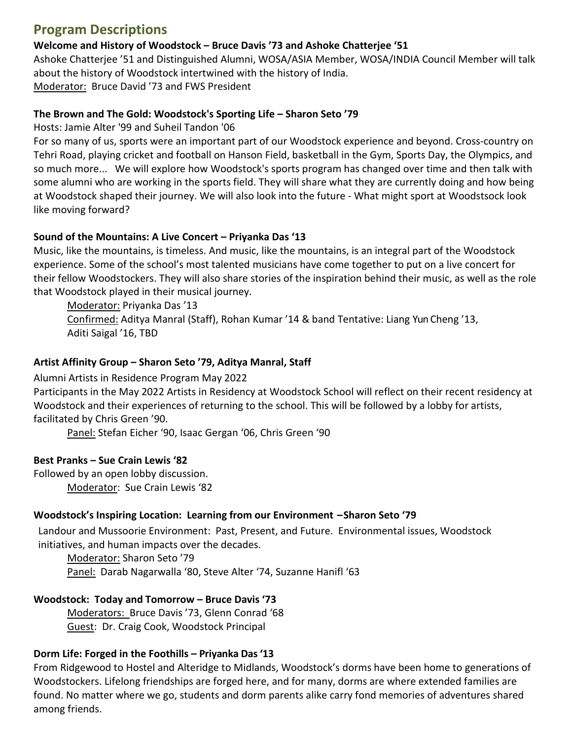## **Program Descriptions**

#### **Welcome and History of Woodstock – Bruce Davis '73 and Ashoke Chatterjee '51**

Ashoke Chatterjee '51 and Distinguished Alumni, WOSA/ASIA Member, WOSA/INDIA Council Member will talk about the history of Woodstock intertwined with the history of India. Moderator: Bruce David '73 and FWS President

#### **The Brown and The Gold: Woodstock's Sporting Life – Sharon Seto '79**

Hosts: Jamie Alter '99 and Suheil Tandon '06

For so many of us, sports were an important part of our Woodstock experience and beyond. Cross-country on Tehri Road, playing cricket and football on Hanson Field, basketball in the Gym, Sports Day, the Olympics, and so much more... We will explore how Woodstock's sports program has changed over time and then talk with some alumni who are working in the sports field. They will share what they are currently doing and how being at Woodstock shaped their journey. We will also look into the future - What might sport at Woodstsock look like moving forward?

#### **Sound of the Mountains: A Live Concert – Priyanka Das '13**

Music, like the mountains, is timeless. And music, like the mountains, is an integral part of the Woodstock experience. Some of the school's most talented musicians have come together to put on a live concert for their fellow Woodstockers. They will also share stories of the inspiration behind their music, as well as the role that Woodstock played in their musical journey.

Moderator: Priyanka Das '13

Confirmed: Aditya Manral (Staff), Rohan Kumar '14 & band Tentative: Liang Yun Cheng '13, Aditi Saigal '16, TBD

#### **Artist Affinity Group – Sharon Seto '79, Aditya Manral, Staff**

Alumni Artists in Residence Program May 2022

Participants in the May 2022 Artists in Residency at Woodstock School will reflect on their recent residency at Woodstock and their experiences of returning to the school. This will be followed by a lobby for artists, facilitated by Chris Green '90.

Panel: Stefan Eicher '90, Isaac Gergan '06, Chris Green '90

#### **Best Pranks – Sue Crain Lewis '82**

Followed by an open lobby discussion. Moderator: Sue Crain Lewis '82

#### **Woodstock's Inspiring Location: Learning from our Environment – Sharon Seto '79**

Landour and Mussoorie Environment: Past, Present, and Future. Environmental issues, Woodstock initiatives, and human impacts over the decades.

Moderator: Sharon Seto '79 Panel: Darab Nagarwalla '80, Steve Alter '74, Suzanne Hanifl '63

#### **Woodstock: Today and Tomorrow – Bruce Davis '73**

Moderators: Bruce Davis '73, Glenn Conrad '68 Guest: Dr. Craig Cook, Woodstock Principal

#### **Dorm Life: Forged in the Foothills – Priyanka Das '13**

From Ridgewood to Hostel and Alteridge to Midlands, Woodstock's dorms have been home to generations of Woodstockers. Lifelong friendships are forged here, and for many, dorms are where extended families are found. No matter where we go, students and dorm parents alike carry fond memories of adventures shared among friends.